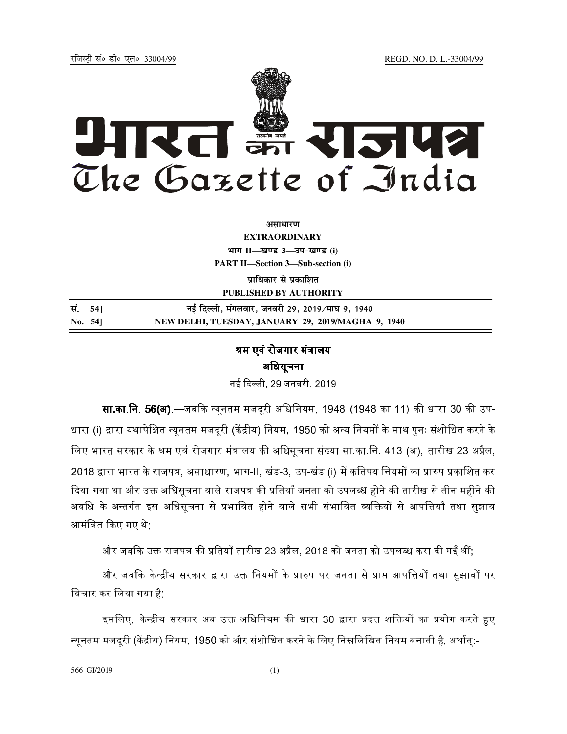jftLVªh laö Mhö ,yö&33004@99 REGD. NO. D. L.-33004/99



असाधार**ण** 

**EXTRAORDINARY**

**Hkkx II—[k.M 3—mi&[k.M (i) PART II—Section 3—Sub-section (i)** 

**पाधिकार से प्रकाशित PUBLISHED BY AUTHORITY**

| सं. 541 | नई दिल्ली, मंगलवार, जनवरी 29, 2019/माघ 9, 1940     |
|---------|----------------------------------------------------|
| No. 541 | NEW DELHI, TUESDAY, JANUARY 29, 2019/MAGHA 9, 1940 |

## श्रम एवं रोजगार मंत्रालय अधिसूचना

नई दिल्ली, 29 जनवरी, 2019.

**सा.का.नि. 56(अ)**.—जबकि न्यनतम मजदरी अधिनियम. 1948 (1948 का 11) की धारा 30 की उप-धारा (i) द्वारा यथापेक्षित न्यनतम मजदरी (केंद्रीय) नियम. 1950 को अन्य नियमों के साथ पनः संशोधित करने के लिए भारत सरकार के श्रम एवं रोजगार मंत्रालय की अधिसचना संख्या सा.का.नि. 413 (अ). तारीख 23 अप्रैल. 2018 द्वारा भारत के राजपत्र, असाधारण, भाग-II, खंड-3, उप-खंड (i) में कतिपय नियमों का प्रारुप प्रकाशित कर ) दिया गया था और उक्त अधिसूचना वाले राजपत्र की प्रतियाँ जनता को उपलब्ध होने की तारीख से तीन महीने की अवधि के अन्तर्गत इस अधिसूचना से प्रभावित होने वाले सभी संभावित व्यक्तियों से आपत्तियाँ तथा सुझाव आमंत्रित किए गए थे :

और जबकि उक्त राजपत्र की प्रतियाँ तारीख 23 अप्रैल. 2018 को जनता को उपलब्ध करा दी गईं थीं:

और जबकि केन्द्रीय सरकार द्वारा उक्त नियमों के प्रारुप पर जनता से प्राप्त आपत्तियों तथा सझावों पर  $\,$ िवचार कर िलया गया है;

इसलिए, केन्द्रीय सरकार अब उक्त अधिनियम की धारा 30 द्वारा प्रदत्त शक्तियों का प्रयोग करते हुए न्यनतम मजदरी (केंद्रीय) नियम, 1950 को और संशोधित करने के लिए निम्नलिखित नियम बनाती है, अर्थात:-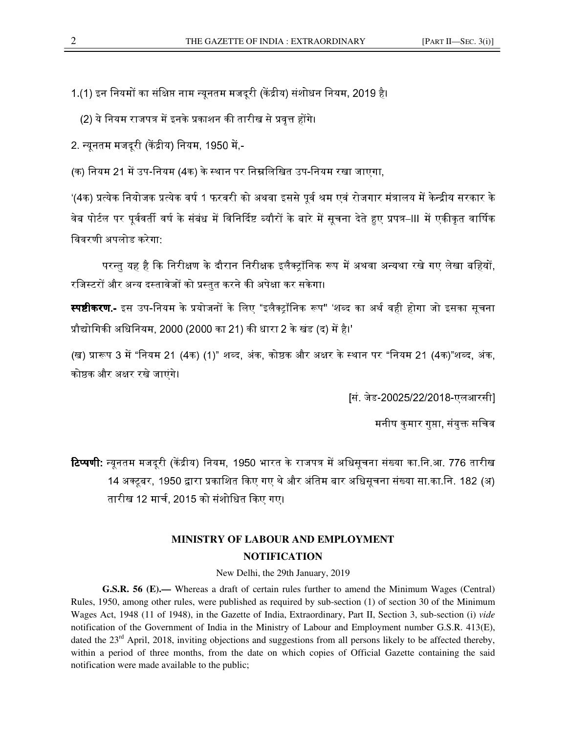1.(1) इन नियमों का संक्षिप्त नाम न्यनतम मजदरी (केंद्रीय) संशोधन नियम. 2019 है।

. (2) ये नियम राजपत्र में इनके प्रकाशन की तारीख से प्रवत्त होंगे।

2. न्यनतम मजदरी (केंद्रीय) नियम, 1950 में.-

(क) नियम 21 में उप-नियम (4क) के स्थान पर निम्नलिखित उप-नियम रखा जाएगा.

'(4क) प्रत्येक नियोजक प्रत्येक वर्ष 1 फरवरी को अथवा इससे पर्व श्रम एवं रोजगार मंत्रालय में केन्द्रीय सरकार के वेब पोर्टल पर पर्ववर्ती वर्ष के संबंध में विनिर्दिष्ट ब्यौरों के बारे में सचना देते हुए प्रपत्र–III में एकीकत वार्षिक िववरणी अपलोड करेगा:

परन्त यह है कि निरीक्षण के दौरान निरीक्षक इलैक्टॉनिक रूप में अथवा अन्यथा रखे गए लेखा बहियों. रजिस्टरों और अन्य दस्तावेजों को प्रस्तुत करने की अपेक्षा कर सकेगा।

**स्पष्टीकरण.-** इस उप-नियम के प्रयोजनों के लिए "इलैक्टॉनिक रूप" 'शब्द का अर्थ वही होगा जो इसका सूचना प्रौद्योगिकी अधिनियम. 2000 (2000 का 21) की धारा 2 के खंड (द) में है।'

(ख) प्रारूप 3 में "नियम 21 (4क) (1)" शब्द, अंक, कोष्ठक और अक्षर के स्थान पर "नियम 21 (4क)"शब्द, अंक, कोष्ठक और अक्षर रखे जाएंगे।

[सं. जेड-20025/22/2018-एलआरसी]

मनीष कमार गप्ता, संयक्त सचिव

**टिप्पणी:** न्यनतम मजदरी (केंद्रीय) नियम. 1950 भारत के राजपत्र में अधिसचना संख्या का.नि.आ. 776 तारीख 14 अक्टबर, 1950 द्वारा प्रकाशित किए गए थे और अंतिम बार अधिसचना संख्या सा.का.नि. 182 (अ) तारीख 12 मार्च. 2015 को संशोधित किए गए।

## **MINISTRY OF LABOUR AND EMPLOYMENT NOTIFICATION**

New Delhi, the 29th January, 2019

**G.S.R. 56 (E).—** Whereas a draft of certain rules further to amend the Minimum Wages (Central) Rules, 1950, among other rules, were published as required by sub-section (1) of section 30 of the Minimum Wages Act, 1948 (11 of 1948), in the Gazette of India, Extraordinary, Part II, Section 3, sub-section (i) *vide* notification of the Government of India in the Ministry of Labour and Employment number G.S.R. 413(E), dated the 23<sup>rd</sup> April, 2018, inviting objections and suggestions from all persons likely to be affected thereby, within a period of three months, from the date on which copies of Official Gazette containing the said notification were made available to the public;